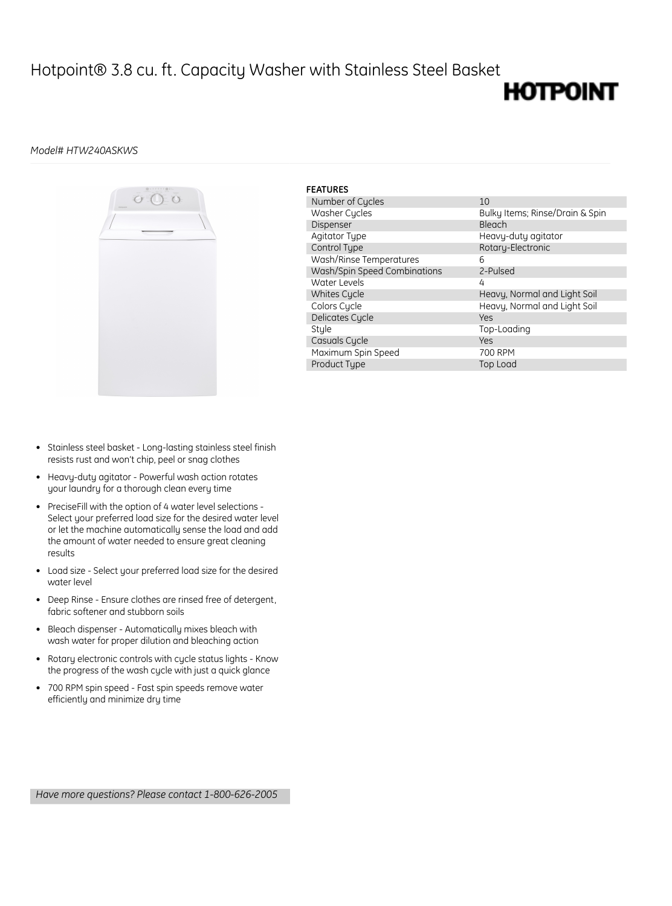## Hotpoint® 3.8 cu. ft. Capacity Washer with Stainless Steel Basket

## **HOTPOINT**

### *Model# HTW240ASKWS*



| <b>FEATURES</b>              |                                 |
|------------------------------|---------------------------------|
| Number of Cycles             | 10                              |
| Washer Cycles                | Bulky Items; Rinse/Drain & Spin |
| Dispenser                    | Bleach                          |
| Agitator Type                | Heavy-duty agitator             |
| Control Type                 | Rotary-Electronic               |
| Wash/Rinse Temperatures      | 6                               |
| Wash/Spin Speed Combinations | 2-Pulsed                        |
| Water Levels                 | 4                               |
| Whites Cycle                 | Heavy, Normal and Light Soil    |
| Colors Cycle                 | Heavy, Normal and Light Soil    |
| Delicates Cycle              | Yes                             |
| Style                        | Top-Loading                     |
| Casuals Cycle                | Yes                             |
| Maximum Spin Speed           | 700 RPM                         |
| <b>Product Tupe</b>          | Top Load                        |

- Stainless steel basket Long-lasting stainless steel finish resists rust and won't chip, peel or snag clothes
- Heavy-duty agitator Powerful wash action rotates your laundry for a thorough clean every time
- PreciseFill with the option of 4 water level selections Select your preferred load size for the desired water level or let the machine automatically sense the load and add the amount of water needed to ensure great cleaning results
- Load size Select your preferred load size for the desired water level
- Deep Rinse Ensure clothes are rinsed free of detergent, fabric softener and stubborn soils
- Bleach dispenser Automatically mixes bleach with wash water for proper dilution and bleaching action
- Rotary electronic controls with cycle status lights Know the progress of the wash cycle with just a quick glance
- 700 RPM spin speed Fast spin speeds remove water efficiently and minimize dry time

*Have more questions? Please contact 1-800-626-2005*